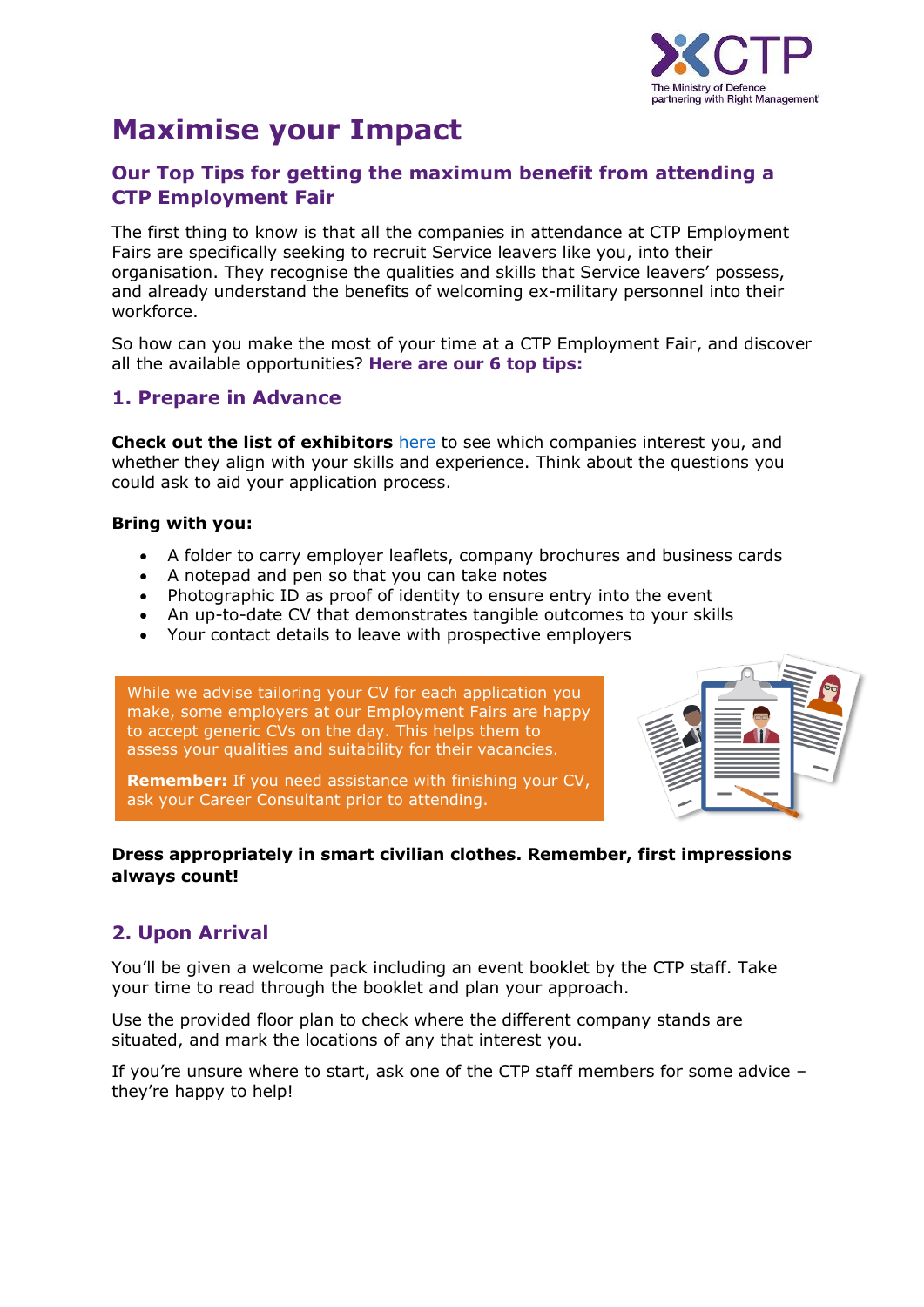

# **Maximise your Impact**

#### **Our Top Tips for getting the maximum benefit from attending a CTP Employment Fair**

The first thing to know is that all the companies in attendance at CTP Employment Fairs are specifically seeking to recruit Service leavers like you, into their organisation. They recognise the qualities and skills that Service leavers' possess, and already understand the benefits of welcoming ex-military personnel into their workforce.

So how can you make the most of your time at a CTP Employment Fair, and discover all the available opportunities? **Here are our 6 top tips:**

#### **1. Prepare in Advance**

**Check out the list of exhibitors** [here](https://www.ctp.org.uk/events/categories) to see which companies interest you, and whether they align with your skills and experience. Think about the questions you could ask to aid your application process.

#### **Bring with you:**

- A folder to carry employer leaflets, company brochures and business cards
- A notepad and pen so that you can take notes
- Photographic ID as proof of identity to ensure entry into the event
- An up-to-date CV that demonstrates tangible outcomes to your skills
- Your contact details to leave with prospective employers

While we advise tailoring your CV for each application you make, some employers at our Employment Fairs are happy to accept generic CVs on the day. This helps them to assess your qualities and suitability for their vacancies.



**Remember:** If you need assistance with finishing your CV, ask your Career Consultant prior to attending.

#### **Dress appropriately in smart civilian clothes. Remember, first impressions always count!**

## **2. Upon Arrival**

You'll be given a welcome pack including an event booklet by the CTP staff. Take your time to read through the booklet and plan your approach.

Use the provided floor plan to check where the different company stands are situated, and mark the locations of any that interest you.

If you're unsure where to start, ask one of the CTP staff members for some advice – they're happy to help!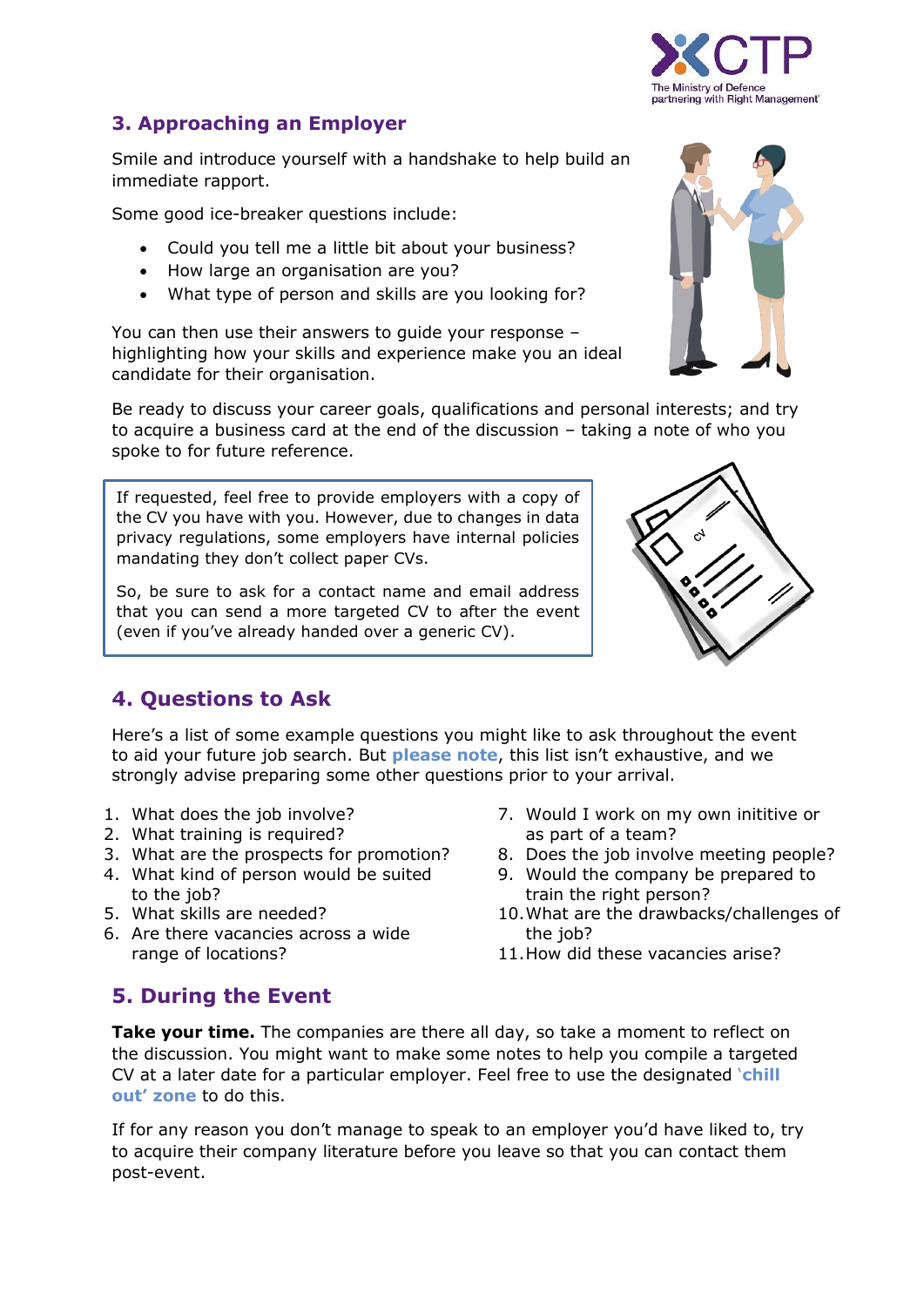

## **3. Approaching an Employer**

Smile and introduce yourself with a handshake to help build an immediate rapport.

Some good ice-breaker questions include:

- Could you tell me a little bit about your business?
- How large an organisation are you?
- What type of person and skills are you looking for?

You can then use their answers to guide your response – highlighting how your skills and experience make you an ideal candidate for their organisation.

Be ready to discuss your career goals, qualifications and personal interests; and try to acquire a business card at the end of the discussion – taking a note of who you spoke to for future reference.

If requested, feel free to provide employers with a copy of the CV you have with you. However, due to changes in data privacy regulations, some employers have internal policies mandating they don't collect paper CVs.

So, be sure to ask for a contact name and email address that you can send a more targeted CV to after the event (even if you've already handed over a generic CV).



# **4. Questions to Ask**

Here's a list of some example questions you might like to ask throughout the event to aid your future job search. But **please note**, this list isn't exhaustive, and we strongly advise preparing some other questions prior to your arrival.

- 1. What does the job involve?
- 2. What training is required?
- 3. What are the prospects for promotion?
- 4. What kind of person would be suited to the job?
- 5. What skills are needed?
- 6. Are there vacancies across a wide range of locations?
- 7. Would I work on my own inititive or as part of a team?
- 8. Does the job involve meeting people?
- 9. Would the company be prepared to train the right person?
- 10.What are the drawbacks/challenges of the job?
- 11.How did these vacancies arise?

# **5. During the Event**

**Take your time.** The companies are there all day, so take a moment to reflect on the discussion. You might want to make some notes to help you compile a targeted CV at a later date for a particular employer. Feel free to use the designated '**chill out' zone** to do this.

If for any reason you don't manage to speak to an employer you'd have liked to, try to acquire their company literature before you leave so that you can contact them post-event.